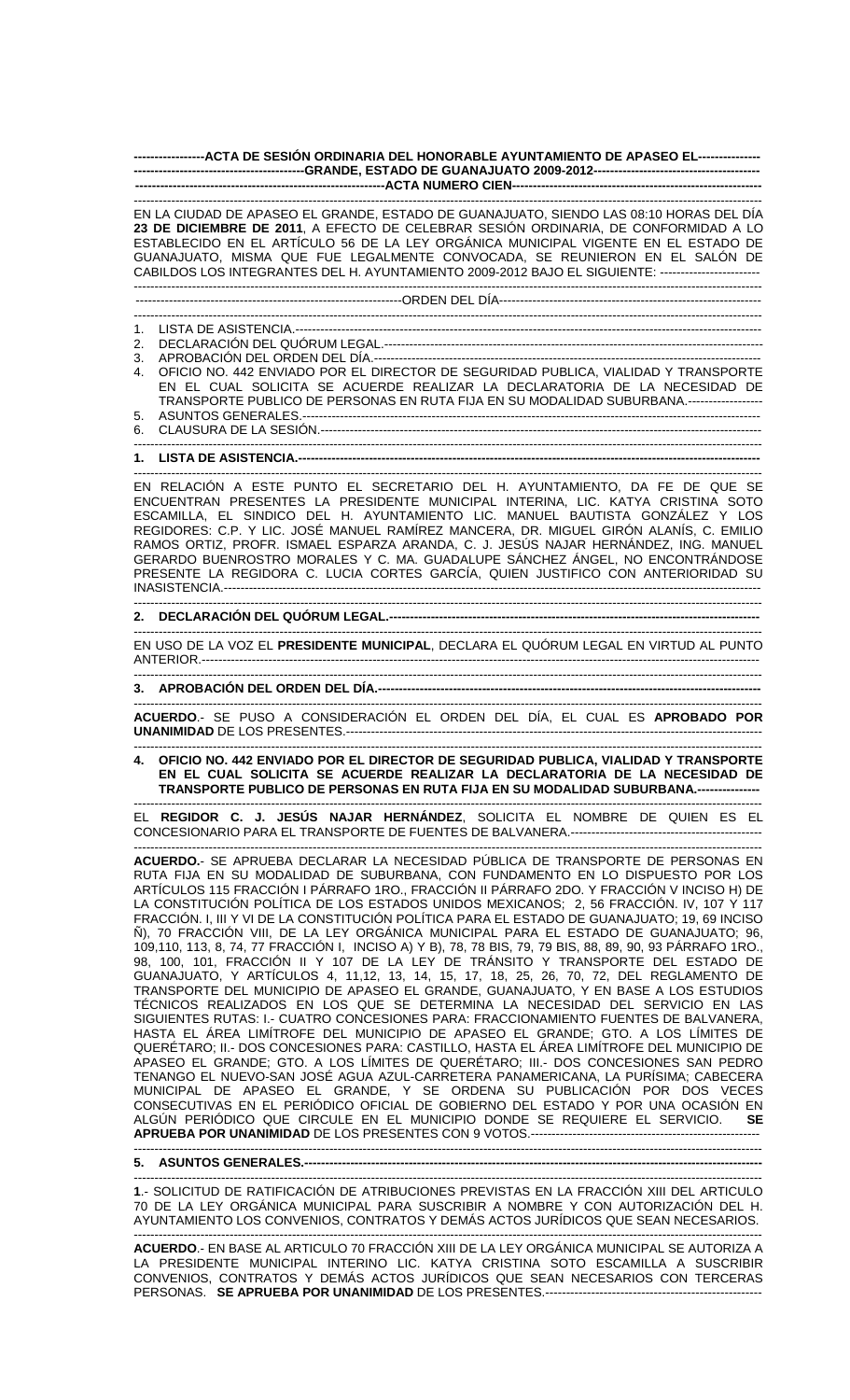**-----------------ACTA DE SESIÓN ORDINARIA DEL HONORABLE AYUNTAMIENTO DE APASEO EL--------------- -----------------------------------------GRANDE, ESTADO DE GUANAJUATO 2009-2012---------------------------------------- ------------------------------------------------------------ACTA NUMERO CIEN------------------------------------------------------------** 

------------------------------------------------------------------------------------------------------------------------------------------------------- EN LA CIUDAD DE APASEO EL GRANDE, ESTADO DE GUANAJUATO, SIENDO LAS 08:10 HORAS DEL DÍA **23 DE DICIEMBRE DE 2011**, A EFECTO DE CELEBRAR SESIÓN ORDINARIA, DE CONFORMIDAD A LO ESTABLECIDO EN EL ARTÍCULO 56 DE LA LEY ORGÁNICA MUNICIPAL VIGENTE EN EL ESTADO DE GUANAJUATO, MISMA QUE FUE LEGALMENTE CONVOCADA, SE REUNIERON EN EL SALÓN DE CABILDOS LOS INTEGRANTES DEL H. AYUNTAMIENTO 2009-2012 BAJO EL SIGUIENTE: ------------------------ -------------------------------------------------------------------------------------------------------------------------------------------------------

----------------------------------------------------------------ORDEN DEL DÍA---------------------------------------------------------------

------------------------------------------------------------------------------------------------------------------------------------------------------- 1. LISTA DE ASISTENCIA.----------------------------------------------------------------------------------------------------------------

2. DECLARACIÓN DEL QUÓRUM LEGAL.-------------------------------------------------------------------------------------------

3. APROBACIÓN DEL ORDEN DEL DÍA.---

4. OFICIO NO. 442 ENVIADO POR EL DIRECTOR DE SEGURIDAD PUBLICA, VIALIDAD Y TRANSPORTE EN EL CUAL SOLICITA SE ACUERDE REALIZAR LA DECLARATORIA DE LA NECESIDAD DE TRANSPORTE PUBLICO DE PERSONAS EN RUTA FIJA EN SU MODALIDAD SUBURBANA.------------------ 5. ASUNTOS GENERALES.--------------------------------------------------------------------------------------------------------------

-------------------------------------------------------------------------------------------------------------------------------------------------------

-------------------------------------------------------------------------------------------------------------------------------------------------------

-------------------------------------------------------------------------------------------------------------------------------------------------------

6. CLAUSURA DE LA SESIÓN.----------------------------------------------------------------------------------------------------------

## 1. LISTA DE ASISTENCIA.-----

------------------------------------------------------------------------------------------------------------------------------------------------------- EN RELACIÓN A ESTE PUNTO EL SECRETARIO DEL H. AYUNTAMIENTO, DA FE DE QUE SE ENCUENTRAN PRESENTES LA PRESIDENTE MUNICIPAL INTERINA, LIC. KATYA CRISTINA SOTO ESCAMILLA, EL SINDICO DEL H. AYUNTAMIENTO LIC. MANUEL BAUTISTA GONZÁLEZ Y LOS REGIDORES: C.P. Y LIC. JOSÉ MANUEL RAMÍREZ MANCERA, DR. MIGUEL GIRÓN ALANÍS, C. EMILIO RAMOS ORTIZ, PROFR. ISMAEL ESPARZA ARANDA, C. J. JESÚS NAJAR HERNÁNDEZ, ING. MANUEL GERARDO BUENROSTRO MORALES Y C. MA. GUADALUPE SÁNCHEZ ÁNGEL, NO ENCONTRÁNDOSE PRESENTE LA REGIDORA C. LUCIA CORTES GARCÍA, QUIEN JUSTIFICO CON ANTERIORIDAD SU INASISTENCIA.---------------------------------------------------------------------------------------------------------------------------------

## ------------------------------------------------------------------------------------------------------------------------------------------------------- **2. DECLARACIÓN DEL QUÓRUM LEGAL.-----------------------------------------------------------------------------------------**

------------------------------------------------------------------------------------------------------------------------------------------------------- EN USO DE LA VOZ EL **PRESIDENTE MUNICIPAL**, DECLARA EL QUÓRUM LEGAL EN VIRTUD AL PUNTO ANTERIOR.--------------------------------------------------------------------------------------------------------------------------------------

## **3. APROBACIÓN DEL ORDEN DEL DÍA.--------------------------------------------------------------------------------------------**

**ACUERDO**.- SE PUSO A CONSIDERACIÓN EL ORDEN DEL DÍA, EL CUAL ES **APROBADO POR UNANIMIDAD** DE LOS PRESENTES.----------------------------------------------------------------------------------------------------

------------------------------------------------------------------------------------------------------------------------------------------------------- **4. OFICIO NO. 442 ENVIADO POR EL DIRECTOR DE SEGURIDAD PUBLICA, VIALIDAD Y TRANSPORTE EN EL CUAL SOLICITA SE ACUERDE REALIZAR LA DECLARATORIA DE LA NECESIDAD DE TRANSPORTE PUBLICO DE PERSONAS EN RUTA FIJA EN SU MODALIDAD SUBURBANA.---------------** 

------------------------------------------------------------------------------------------------------------------------------------------------------- EL **REGIDOR C. J. JESÚS NAJAR HERNÁNDEZ**, SOLICITA EL NOMBRE DE QUIEN ES EL CONCESIONARIO PARA EL TRANSPORTE DE FUENTES DE BALVANERA.---------------------------------------------- -------------------------------------------------------------------------------------------------------------------------------------------------------

**ACUERDO.**- SE APRUEBA DECLARAR LA NECESIDAD PÚBLICA DE TRANSPORTE DE PERSONAS EN RUTA FIJA EN SU MODALIDAD DE SUBURBANA, CON FUNDAMENTO EN LO DISPUESTO POR LOS ARTÍCULOS 115 FRACCIÓN I PÁRRAFO 1RO., FRACCIÓN II PÁRRAFO 2DO. Y FRACCIÓN V INCISO H) DE LA CONSTITUCIÓN POLÍTICA DE LOS ESTADOS UNIDOS MEXICANOS; 2, 56 FRACCIÓN. IV, 107 Y 117 FRACCIÓN. I, III Y VI DE LA CONSTITUCIÓN POLÍTICA PARA EL ESTADO DE GUANAJUATO; 19, 69 INCISO Ñ), 70 FRACCIÓN VIII, DE LA LEY ORGÁNICA MUNICIPAL PARA EL ESTADO DE GUANAJUATO; 96, 109,110, 113, 8, 74, 77 FRACCIÓN I, INCISO A) Y B), 78, 78 BIS, 79, 79 BIS, 88, 89, 90, 93 PÁRRAFO 1RO., 98, 100, 101, FRACCIÓN II Y 107 DE LA LEY DE TRÁNSITO Y TRANSPORTE DEL ESTADO DE GUANAJUATO, Y ARTÍCULOS 4, 11,12, 13, 14, 15, 17, 18, 25, 26, 70, 72, DEL REGLAMENTO DE TRANSPORTE DEL MUNICIPIO DE APASEO EL GRANDE, GUANAJUATO, Y EN BASE A LOS ESTUDIOS TÉCNICOS REALIZADOS EN LOS QUE SE DETERMINA LA NECESIDAD DEL SERVICIO EN LAS SIGUIENTES RUTAS: I.- CUATRO CONCESIONES PARA: FRACCIONAMIENTO FUENTES DE BALVANERA, HASTA EL ÁREA LIMÍTROFE DEL MUNICIPIO DE APASEO EL GRANDE; GTO. A LOS LÍMITES DE QUERÉTARO; II.- DOS CONCESIONES PARA: CASTILLO, HASTA EL ÁREA LIMÍTROFE DEL MUNICIPIO DE APASEO EL GRANDE; GTO. A LOS LÍMITES DE QUERÉTARO; III.- DOS CONCESIONES SAN PEDRO TENANGO EL NUEVO-SAN JOSÉ AGUA AZUL-CARRETERA PANAMERICANA, LA PURÍSIMA; CABECERA MUNICIPAL DE APASEO EL GRANDE, Y SE ORDENA SU PUBLICACIÓN POR DOS VECES CONSECUTIVAS EN EL PERIÓDICO OFICIAL DE GOBIERNO DEL ESTADO Y POR UNA OCASIÓN EN ALGÚN PERIÓDICO QUE CIRCULE EN EL MUNICIPIO DONDE SE REQUIERE EL SERVICIO. **SE APRUEBA POR UNANIMIDAD** DE LOS PRESENTES CON 9 VOTOS.-------------------------------------------------------

------------------------------------------------------------------------------------------------------------------------------------------------------- **5. ASUNTOS GENERALES.--------------------------------------------------------------------------------------------------------------** 

------------------------------------------------------------------------------------------------------------------------------------------------------- **1**.- SOLICITUD DE RATIFICACIÓN DE ATRIBUCIONES PREVISTAS EN LA FRACCIÓN XIII DEL ARTICULO 70 DE LA LEY ORGÁNICA MUNICIPAL PARA SUSCRIBIR A NOMBRE Y CON AUTORIZACIÓN DEL H. AYUNTAMIENTO LOS CONVENIOS, CONTRATOS Y DEMÁS ACTOS JURÍDICOS QUE SEAN NECESARIOS.

------------------------------------------------------------------------------------------------------------------------------------------------------- **ACUERDO**.- EN BASE AL ARTICULO 70 FRACCIÓN XIII DE LA LEY ORGÁNICA MUNICIPAL SE AUTORIZA A LA PRESIDENTE MUNICIPAL INTERINO LIC. KATYA CRISTINA SOTO ESCAMILLA A SUSCRIBIR CONVENIOS, CONTRATOS Y DEMÁS ACTOS JURÍDICOS QUE SEAN NECESARIOS CON TERCERAS PERSONAS. SE APRUEBA POR UNANIMIDAD DE LOS PRESENTES.----------